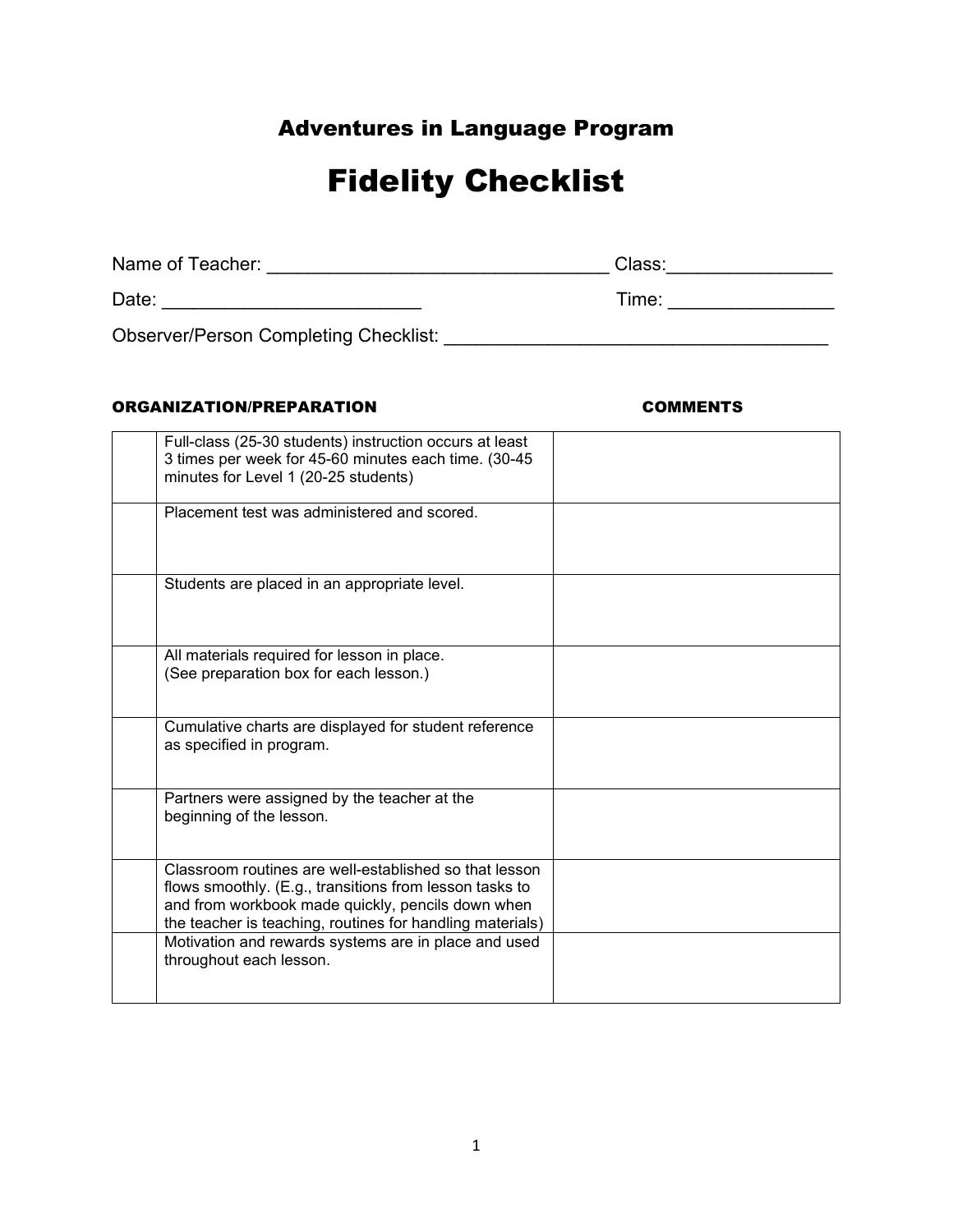## Adventures in Language Program

# Fidelity Checklist

| Name of Teacher:                             | Class: |
|----------------------------------------------|--------|
| Date:                                        | Time:  |
| <b>Observer/Person Completing Checklist:</b> |        |

### ORGANIZATION/PREPARATION COMMENTS

| Full-class (25-30 students) instruction occurs at least<br>3 times per week for 45-60 minutes each time. (30-45<br>minutes for Level 1 (20-25 students)                                                                             |  |
|-------------------------------------------------------------------------------------------------------------------------------------------------------------------------------------------------------------------------------------|--|
| Placement test was administered and scored.                                                                                                                                                                                         |  |
| Students are placed in an appropriate level.                                                                                                                                                                                        |  |
| All materials required for lesson in place.<br>(See preparation box for each lesson.)                                                                                                                                               |  |
| Cumulative charts are displayed for student reference<br>as specified in program.                                                                                                                                                   |  |
| Partners were assigned by the teacher at the<br>beginning of the lesson.                                                                                                                                                            |  |
| Classroom routines are well-established so that lesson<br>flows smoothly. (E.g., transitions from lesson tasks to<br>and from workbook made quickly, pencils down when<br>the teacher is teaching, routines for handling materials) |  |
| Motivation and rewards systems are in place and used<br>throughout each lesson.                                                                                                                                                     |  |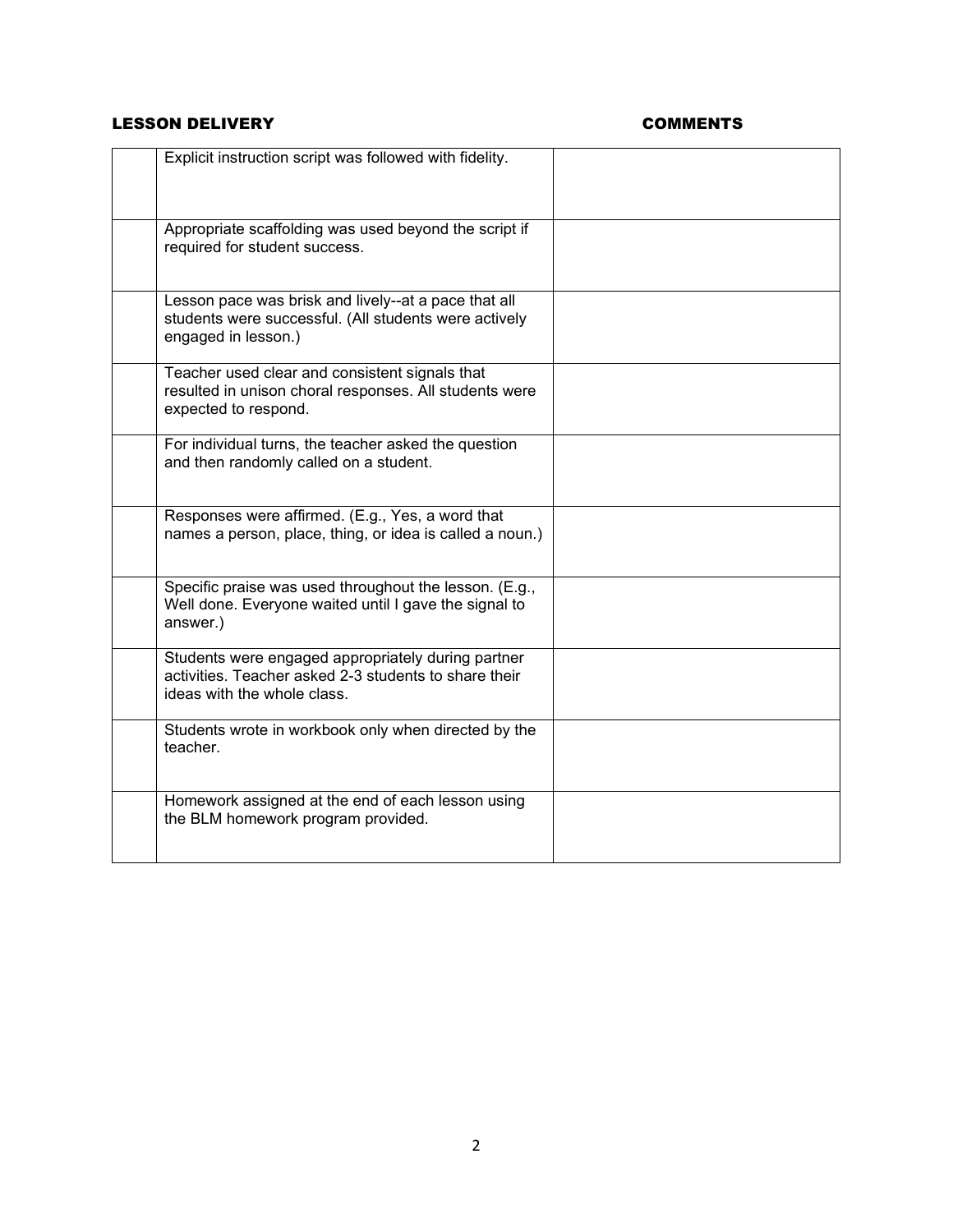### LESSON DELIVERY **COMMENTS**

| Explicit instruction script was followed with fidelity.                                                                                    |  |
|--------------------------------------------------------------------------------------------------------------------------------------------|--|
| Appropriate scaffolding was used beyond the script if<br>required for student success.                                                     |  |
| Lesson pace was brisk and lively--at a pace that all<br>students were successful. (All students were actively<br>engaged in lesson.)       |  |
| Teacher used clear and consistent signals that<br>resulted in unison choral responses. All students were<br>expected to respond.           |  |
| For individual turns, the teacher asked the question<br>and then randomly called on a student.                                             |  |
| Responses were affirmed. (E.g., Yes, a word that<br>names a person, place, thing, or idea is called a noun.)                               |  |
| Specific praise was used throughout the lesson. (E.g.,<br>Well done. Everyone waited until I gave the signal to<br>answer.)                |  |
| Students were engaged appropriately during partner<br>activities. Teacher asked 2-3 students to share their<br>ideas with the whole class. |  |
| Students wrote in workbook only when directed by the<br>teacher.                                                                           |  |
| Homework assigned at the end of each lesson using<br>the BLM homework program provided.                                                    |  |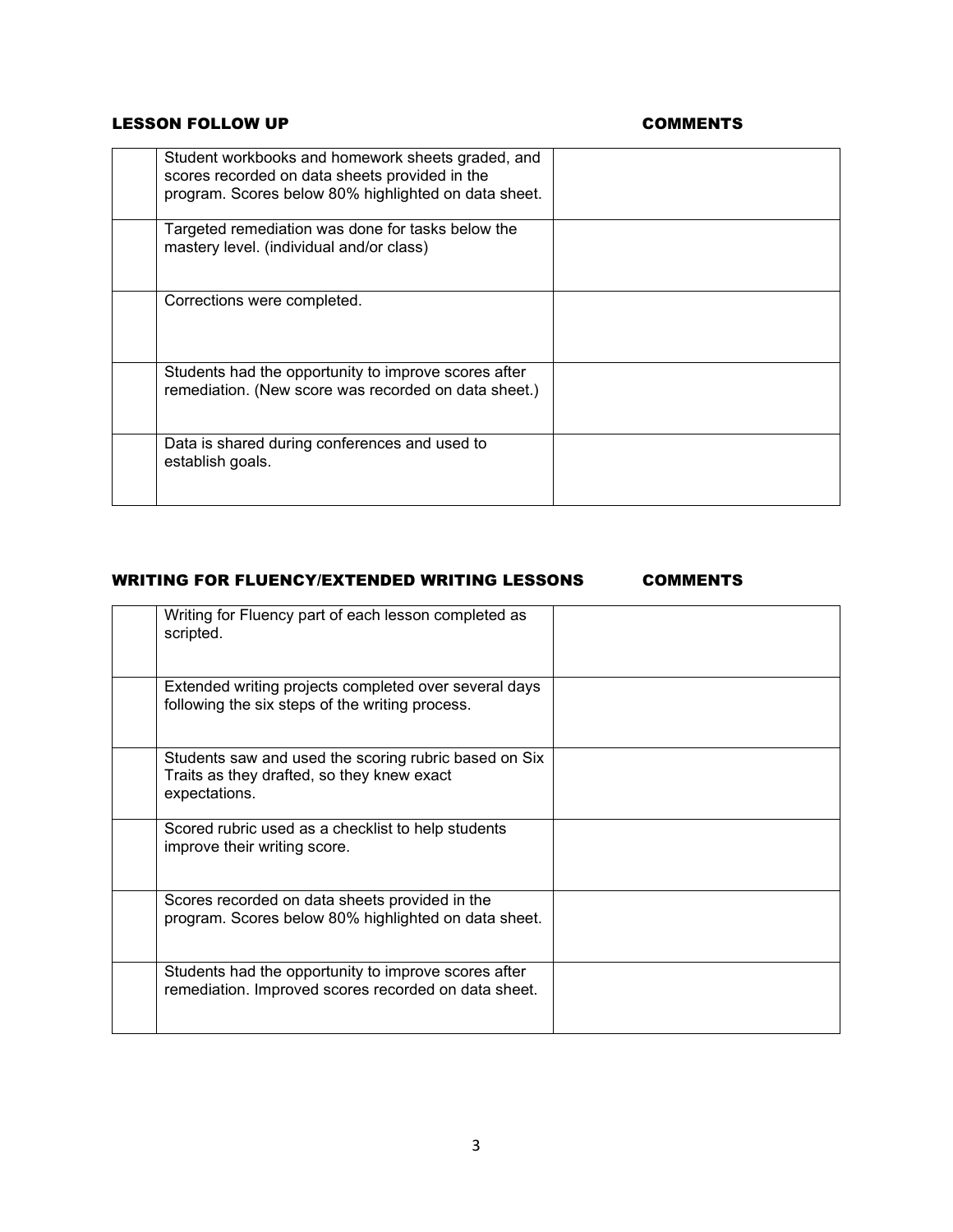### LESSON FOLLOW UP **COMMENTS**

| Student workbooks and homework sheets graded, and<br>scores recorded on data sheets provided in the<br>program. Scores below 80% highlighted on data sheet. |  |
|-------------------------------------------------------------------------------------------------------------------------------------------------------------|--|
| Targeted remediation was done for tasks below the<br>mastery level. (individual and/or class)                                                               |  |
| Corrections were completed.                                                                                                                                 |  |
| Students had the opportunity to improve scores after<br>remediation. (New score was recorded on data sheet.)                                                |  |
| Data is shared during conferences and used to<br>establish goals.                                                                                           |  |

### WRITING FOR FLUENCY/EXTENDED WRITING LESSONS COMMENTS

| Writing for Fluency part of each lesson completed as<br>scripted.                                                    |  |
|----------------------------------------------------------------------------------------------------------------------|--|
| Extended writing projects completed over several days<br>following the six steps of the writing process.             |  |
| Students saw and used the scoring rubric based on Six<br>Traits as they drafted, so they knew exact<br>expectations. |  |
| Scored rubric used as a checklist to help students<br>improve their writing score.                                   |  |
| Scores recorded on data sheets provided in the<br>program. Scores below 80% highlighted on data sheet.               |  |
| Students had the opportunity to improve scores after<br>remediation. Improved scores recorded on data sheet.         |  |